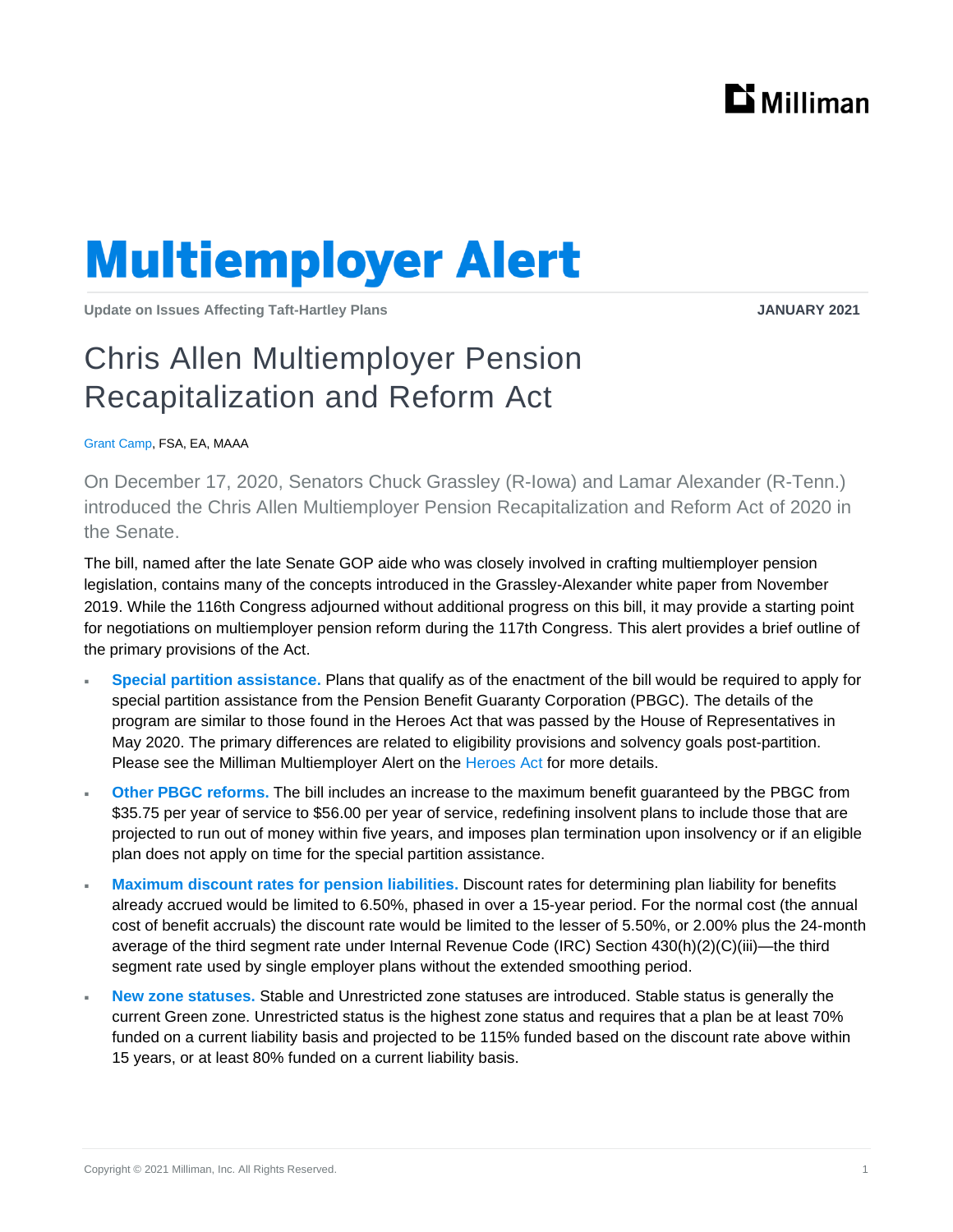

## **Multiemployer Alert**

**Update on Issues Affecting Taft-Hartley Plans JANUARY 2021**

## Chris Allen Multiemployer Pension Recapitalization and Reform Act

Grant Camp, FSA, EA, MAAA

On December 17, 2020, Senators Chuck Grassley (R-Iowa) and Lamar Alexander (R-Tenn.) introduced the Chris Allen Multiemployer Pension Recapitalization and Reform Act of 2020 in the Senate.

The bill, named after the late Senate GOP aide who was closely involved in crafting multiemployer pension legislation, contains many of the concepts introduced in the Grassley-Alexander white [paper](https://us.milliman.com/en/insight/proposed-multiemployer-legislative-changes-released-the-multiemployer-pension-recapitaliz) from November 2019. While the 116th Congress adjourned without additional progress on this bill, it may provide a starting point for negotiations on multiemployer pension reform during the 117th Congress. This alert provides a brief outline of the primary provisions of the Act.

- **Special partition assistance.** Plans that qualify as of the enactment of the bill would be required to apply for special partition assistance from the Pension Benefit Guaranty Corporation (PBGC). The details of the program are similar to those found in the Heroes Act that was passed by the House of Representatives in May 2020. The primary differences are related to eligibility provisions and solvency goals post-partition. Please see the Milliman Multiemployer Alert on the [Heroes Act](https://us.milliman.com/en/insight/multiemployer-relief-in-heroes-act) for more details.
- **Other PBGC reforms.** The bill includes an increase to the maximum benefit guaranteed by the PBGC from \$35.75 per year of service to \$56.00 per year of service, redefining insolvent plans to include those that are projected to run out of money within five years, and imposes plan termination upon insolvency or if an eligible plan does not apply on time for the special partition assistance.
- **Maximum discount rates for pension liabilities.** Discount rates for determining plan liability for benefits already accrued would be limited to 6.50%, phased in over a 15-year period. For the normal cost (the annual cost of benefit accruals) the discount rate would be limited to the lesser of 5.50%, or 2.00% plus the 24-month average of the third segment rate under Internal Revenue Code (IRC) Section 430(h)(2)(C)(iii)—the third segment rate used by single employer plans without the extended smoothing period.
- **New zone statuses.** Stable and Unrestricted zone statuses are introduced. Stable status is generally the current Green zone. Unrestricted status is the highest zone status and requires that a plan be at least 70% funded on a current liability basis and projected to be 115% funded based on the discount rate above within 15 years, or at least 80% funded on a current liability basis.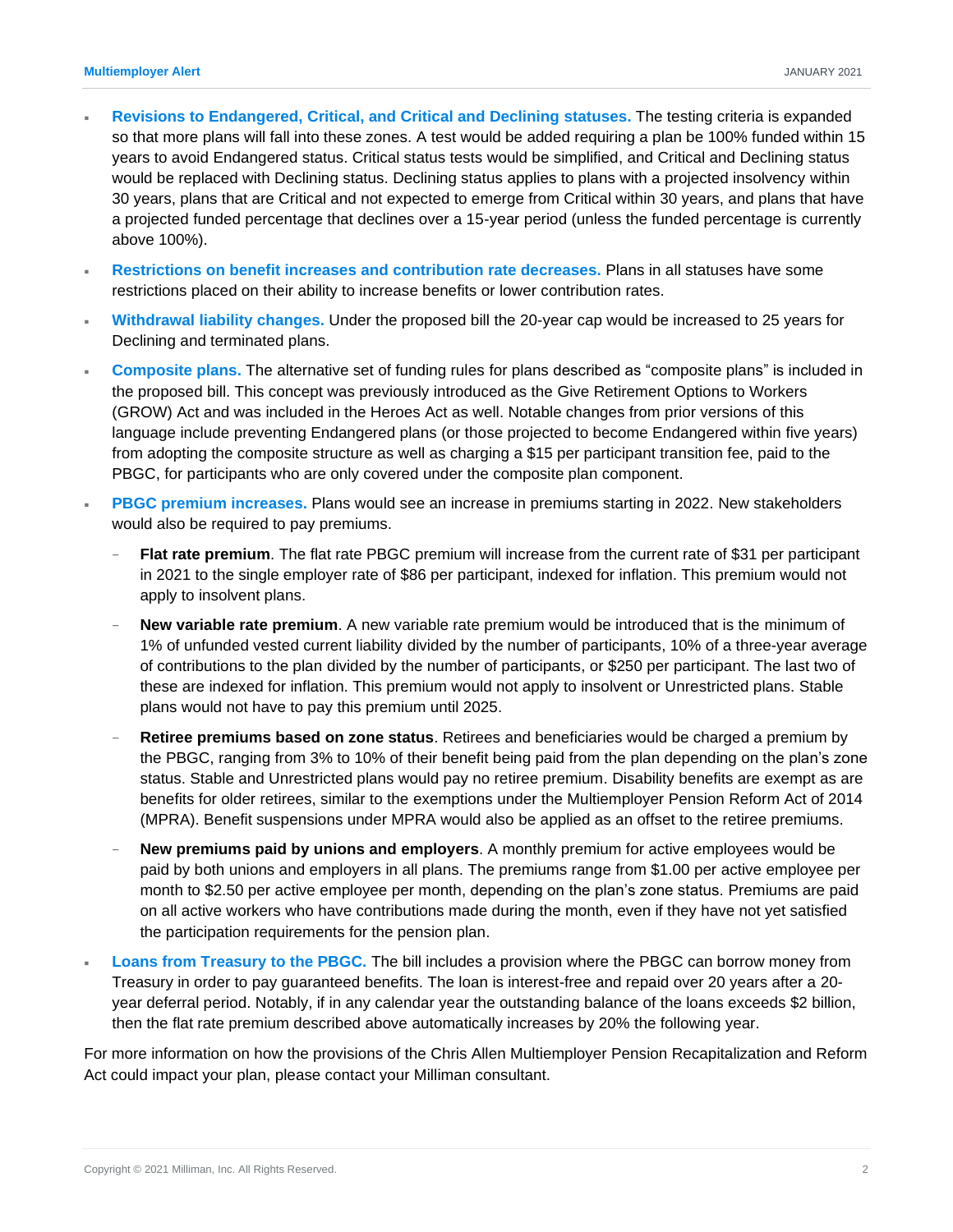- **Revisions to Endangered, Critical, and Critical and Declining statuses.** The testing criteria is expanded so that more plans will fall into these zones. A test would be added requiring a plan be 100% funded within 15 years to avoid Endangered status. Critical status tests would be simplified, and Critical and Declining status would be replaced with Declining status. Declining status applies to plans with a projected insolvency within 30 years, plans that are Critical and not expected to emerge from Critical within 30 years, and plans that have a projected funded percentage that declines over a 15-year period (unless the funded percentage is currently above 100%).
- **Restrictions on benefit increases and contribution rate decreases.** Plans in all statuses have some restrictions placed on their ability to increase benefits or lower contribution rates.
- **Withdrawal liability changes.** Under the proposed bill the 20-year cap would be increased to 25 years for Declining and terminated plans.
- **Composite plans.** The alternative set of funding rules for plans described as "composite plans" is included in the proposed bill. This concept was previously introduced as the Give Retirement Options to Workers (GROW) Act and was included in the Heroes Act as well. Notable changes from prior versions of this language include preventing Endangered plans (or those projected to become Endangered within five years) from adopting the composite structure as well as charging a \$15 per participant transition fee, paid to the PBGC, for participants who are only covered under the composite plan component.
- **PBGC premium increases.** Plans would see an increase in premiums starting in 2022. New stakeholders would also be required to pay premiums.
	- **Flat rate premium**. The flat rate PBGC premium will increase from the current rate of \$31 per participant in 2021 to the single employer rate of \$86 per participant, indexed for inflation. This premium would not apply to insolvent plans.
	- − **New variable rate premium**. A new variable rate premium would be introduced that is the minimum of 1% of unfunded vested current liability divided by the number of participants, 10% of a three-year average of contributions to the plan divided by the number of participants, or \$250 per participant. The last two of these are indexed for inflation. This premium would not apply to insolvent or Unrestricted plans. Stable plans would not have to pay this premium until 2025.
	- − **Retiree premiums based on zone status**. Retirees and beneficiaries would be charged a premium by the PBGC, ranging from 3% to 10% of their benefit being paid from the plan depending on the plan's zone status. Stable and Unrestricted plans would pay no retiree premium. Disability benefits are exempt as are benefits for older retirees, similar to the exemptions under the Multiemployer Pension Reform Act of 2014 (MPRA). Benefit suspensions under MPRA would also be applied as an offset to the retiree premiums.
	- **New premiums paid by unions and employers**. A monthly premium for active employees would be paid by both unions and employers in all plans. The premiums range from \$1.00 per active employee per month to \$2.50 per active employee per month, depending on the plan's zone status. Premiums are paid on all active workers who have contributions made during the month, even if they have not yet satisfied the participation requirements for the pension plan.
- **Loans from Treasury to the PBGC.** The bill includes a provision where the PBGC can borrow money from Treasury in order to pay guaranteed benefits. The loan is interest-free and repaid over 20 years after a 20 year deferral period. Notably, if in any calendar year the outstanding balance of the loans exceeds \$2 billion, then the flat rate premium described above automatically increases by 20% the following year.

For more information on how the provisions of the Chris Allen Multiemployer Pension Recapitalization and Reform Act could impact your plan, please contact your Milliman consultant.